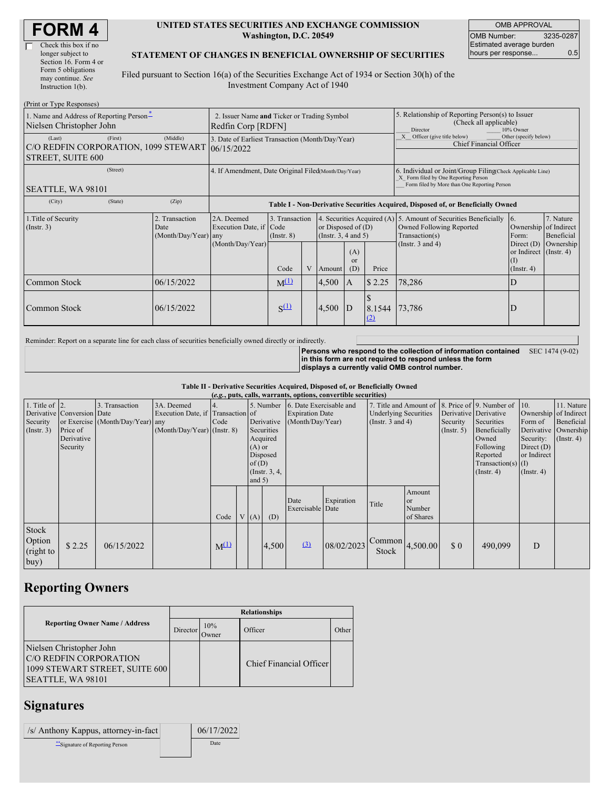| <b>FORM4</b> |
|--------------|
|--------------|

| Check this box if no  |
|-----------------------|
| longer subject to     |
| Section 16. Form 4 or |
| Form 5 obligations    |
| may continue. See     |
| Instruction 1(b).     |
|                       |

#### **UNITED STATES SECURITIES AND EXCHANGE COMMISSION Washington, D.C. 20549**

OMB APPROVAL OMB Number: 3235-0287 Estimated average burden hours per response... 0.5

#### **STATEMENT OF CHANGES IN BENEFICIAL OWNERSHIP OF SECURITIES**

Filed pursuant to Section 16(a) of the Securities Exchange Act of 1934 or Section 30(h) of the Investment Company Act of 1940

| (Print or Type Responses)                                                        |                                                                   |                                                |                                                                                  |                                           |   |                                                                                                     |                                                                                                                                                    |               |                                                                                                                                        |                                                                                                          |                                      |
|----------------------------------------------------------------------------------|-------------------------------------------------------------------|------------------------------------------------|----------------------------------------------------------------------------------|-------------------------------------------|---|-----------------------------------------------------------------------------------------------------|----------------------------------------------------------------------------------------------------------------------------------------------------|---------------|----------------------------------------------------------------------------------------------------------------------------------------|----------------------------------------------------------------------------------------------------------|--------------------------------------|
| 1. Name and Address of Reporting Person <sup>*</sup><br>Nielsen Christopher John | 2. Issuer Name and Ticker or Trading Symbol<br>Redfin Corp [RDFN] |                                                |                                                                                  |                                           |   | 5. Relationship of Reporting Person(s) to Issuer<br>(Check all applicable)<br>10% Owner<br>Director |                                                                                                                                                    |               |                                                                                                                                        |                                                                                                          |                                      |
| (Last)<br>C/O REDFIN CORPORATION, 1099 STEWART<br><b>STREET, SUITE 600</b>       | 3. Date of Earliest Transaction (Month/Day/Year)<br>106/15/2022   |                                                |                                                                                  |                                           |   |                                                                                                     | Other (specify below)<br>X Officer (give title below)<br>Chief Financial Officer                                                                   |               |                                                                                                                                        |                                                                                                          |                                      |
| SEATTLE, WA 98101                                                                | 4. If Amendment, Date Original Filed(Month/Day/Year)              |                                                |                                                                                  |                                           |   |                                                                                                     | 6. Individual or Joint/Group Filing Check Applicable Line)<br>X Form filed by One Reporting Person<br>Form filed by More than One Reporting Person |               |                                                                                                                                        |                                                                                                          |                                      |
| (City)                                                                           | (State)                                                           | (Zip)                                          | Table I - Non-Derivative Securities Acquired, Disposed of, or Beneficially Owned |                                           |   |                                                                                                     |                                                                                                                                                    |               |                                                                                                                                        |                                                                                                          |                                      |
| 1. Title of Security<br>$($ Instr. 3 $)$                                         |                                                                   | 2. Transaction<br>Date<br>(Month/Day/Year) any | 2A. Deemed<br>Execution Date, if Code<br>(Month/Day/Year)                        | 3. Transaction<br>$($ Instr. $8)$<br>Code | V | or Disposed of $(D)$<br>(Insert. 3, 4 and 5)<br>(A)<br><sub>or</sub><br>(D)<br>Price<br>Amount      |                                                                                                                                                    |               | 4. Securities Acquired (A) 5. Amount of Securities Beneficially<br>Owned Following Reported<br>Transaction(s)<br>(Instr. $3$ and $4$ ) | 16.<br>Ownership of Indirect<br>Form:<br>Direct (D)<br>or Indirect (Instr. 4)<br>(I)<br>$($ Instr. 4 $)$ | 7. Nature<br>Beneficial<br>Ownership |
| Common Stock                                                                     |                                                                   | 06/15/2022                                     |                                                                                  | $M^{(1)}$                                 |   | 4,500                                                                                               | $\mathsf{I}$ A                                                                                                                                     | \$2.25        | 78,286                                                                                                                                 | ID                                                                                                       |                                      |
| Common Stock                                                                     |                                                                   | 06/15/2022                                     |                                                                                  | $S^{(1)}$                                 |   | 4,500                                                                                               | D                                                                                                                                                  | 8.1544<br>(2) | 73,786                                                                                                                                 | D                                                                                                        |                                      |

Reminder: Report on a separate line for each class of securities beneficially owned directly or indirectly.

**Persons who respond to the collection of information contained in this form are not required to respond unless the form displays a currently valid OMB control number.** SEC 1474 (9-02)

**Table II - Derivative Securities Acquired, Disposed of, or Beneficially Owned**

|                                                        | (e.g., puts, calls, warrants, options, convertible securities)   |                                                    |                                                                                  |           |  |                               |                                                                                   |                                                                       |            |                                                                                                              |                                                |                         |                                                                                                                                   |                                                                         |                                                                                               |
|--------------------------------------------------------|------------------------------------------------------------------|----------------------------------------------------|----------------------------------------------------------------------------------|-----------|--|-------------------------------|-----------------------------------------------------------------------------------|-----------------------------------------------------------------------|------------|--------------------------------------------------------------------------------------------------------------|------------------------------------------------|-------------------------|-----------------------------------------------------------------------------------------------------------------------------------|-------------------------------------------------------------------------|-----------------------------------------------------------------------------------------------|
| 1. Title of $\vert$ 2.<br>Security<br>$($ Instr. 3 $)$ | Derivative Conversion Date<br>Price of<br>Derivative<br>Security | 3. Transaction<br>or Exercise (Month/Day/Year) any | 3A. Deemed<br>Execution Date, if Transaction of<br>$(Month/Day/Year)$ (Instr. 8) | Code      |  | $(A)$ or<br>of(D)<br>and $5)$ | 5. Number<br>Derivative<br>Securities<br>Acquired<br>Disposed<br>(Instr. $3, 4$ , | 6. Date Exercisable and<br><b>Expiration Date</b><br>(Month/Day/Year) |            | 7. Title and Amount of 8. Price of 9. Number of 10.<br><b>Underlying Securities</b><br>(Instr. $3$ and $4$ ) |                                                | Security<br>(Insert. 5) | Derivative Derivative<br>Securities<br>Beneficially<br>Owned<br>Following<br>Reported<br>$Transaction(s)$ (I)<br>$($ Instr. 4 $)$ | Form of<br>Security:<br>Direct $(D)$<br>or Indirect<br>$($ Instr. 4 $)$ | 11. Nature<br>Ownership of Indirect<br>Beneficial<br>Derivative Ownership<br>$($ Instr. 4 $)$ |
|                                                        |                                                                  |                                                    |                                                                                  | Code      |  | V(A)                          | (D)                                                                               | Date<br>Exercisable Date                                              | Expiration | Title                                                                                                        | Amount<br><sub>or</sub><br>Number<br>of Shares |                         |                                                                                                                                   |                                                                         |                                                                                               |
| Stock<br>Option<br>(right to<br> buy)                  | \$2.25                                                           | 06/15/2022                                         |                                                                                  | $M^{(1)}$ |  |                               | 4,500                                                                             | (3)                                                                   | 08/02/2023 | Stock                                                                                                        |                                                | $\Omega$                | 490,099                                                                                                                           | D                                                                       |                                                                                               |

# **Reporting Owners**

|                                                                                                           | <b>Relationships</b> |                     |                         |       |  |  |  |  |
|-----------------------------------------------------------------------------------------------------------|----------------------|---------------------|-------------------------|-------|--|--|--|--|
| <b>Reporting Owner Name / Address</b>                                                                     | Director             | 10%<br><b>Twner</b> | Officer                 | Other |  |  |  |  |
| Nielsen Christopher John<br>C/O REDFIN CORPORATION<br>1099 STEWART STREET, SUITE 600<br>SEATTLE, WA 98101 |                      |                     | Chief Financial Officer |       |  |  |  |  |

### **Signatures**

| /s/ Anthony Kappus, attorney-in-fact | 06/17/2022 |
|--------------------------------------|------------|
| Signature of Reporting Person        | Date       |